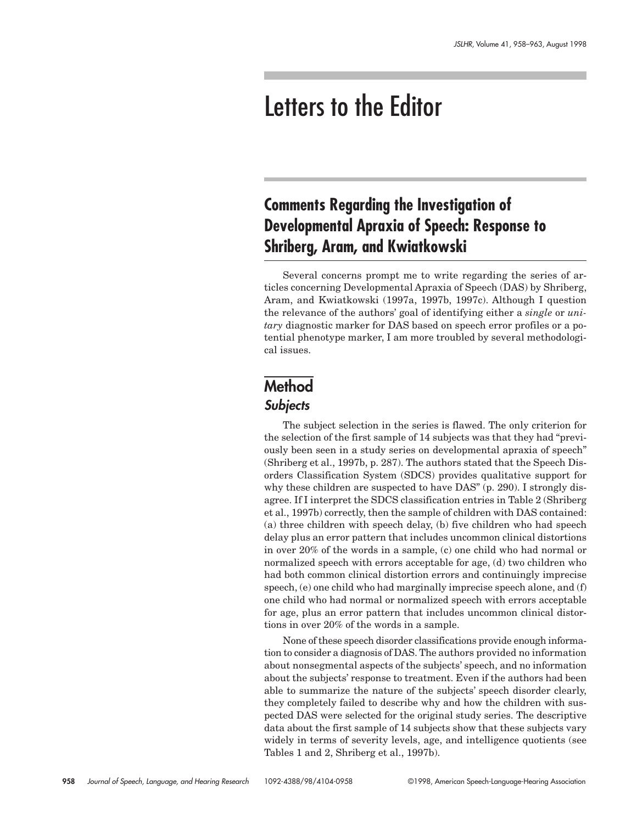# Letters to the Editor

# **Comments Regarding the Investigation of Developmental Apraxia of Speech: Response to Shriberg, Aram, and Kwiatkowski**

Several concerns prompt me to write regarding the series of articles concerning Developmental Apraxia of Speech (DAS) by Shriberg, Aram, and Kwiatkowski (1997a, 1997b, 1997c). Although I question the relevance of the authors' goal of identifying either a *single* or *unitary* diagnostic marker for DAS based on speech error profiles or a potential phenotype marker, I am more troubled by several methodological issues.

# **Method Subjects**

The subject selection in the series is flawed. The only criterion for the selection of the first sample of 14 subjects was that they had "previously been seen in a study series on developmental apraxia of speech" (Shriberg et al., 1997b, p. 287). The authors stated that the Speech Disorders Classification System (SDCS) provides qualitative support for why these children are suspected to have DAS" (p. 290). I strongly disagree. If I interpret the SDCS classification entries in Table 2 (Shriberg et al., 1997b) correctly, then the sample of children with DAS contained: (a) three children with speech delay, (b) five children who had speech delay plus an error pattern that includes uncommon clinical distortions in over 20% of the words in a sample, (c) one child who had normal or normalized speech with errors acceptable for age, (d) two children who had both common clinical distortion errors and continuingly imprecise speech, (e) one child who had marginally imprecise speech alone, and (f) one child who had normal or normalized speech with errors acceptable for age, plus an error pattern that includes uncommon clinical distortions in over 20% of the words in a sample.

None of these speech disorder classifications provide enough information to consider a diagnosis of DAS. The authors provided no information about nonsegmental aspects of the subjects' speech, and no information about the subjects' response to treatment. Even if the authors had been able to summarize the nature of the subjects' speech disorder clearly, they completely failed to describe why and how the children with suspected DAS were selected for the original study series. The descriptive data about the first sample of 14 subjects show that these subjects vary widely in terms of severity levels, age, and intelligence quotients (see Tables 1 and 2, Shriberg et al., 1997b).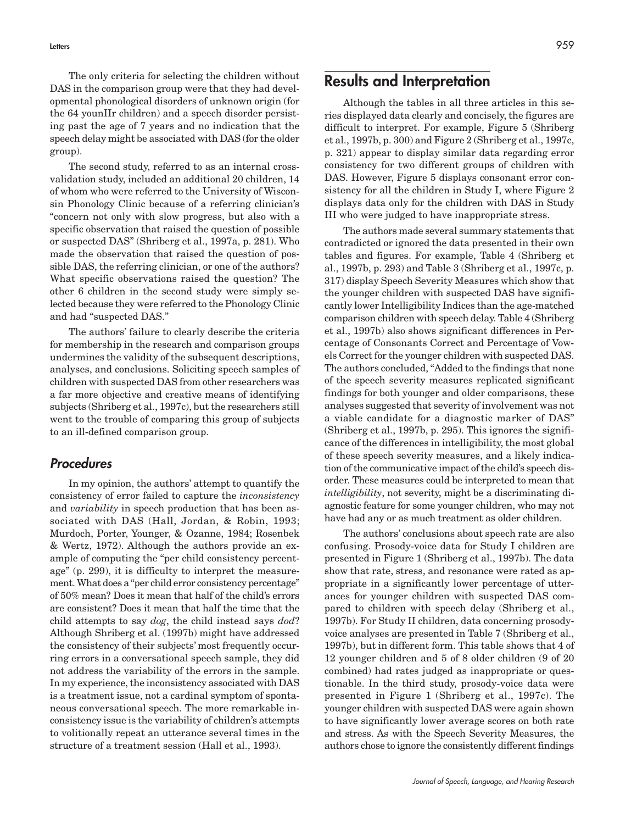The only criteria for selecting the children without DAS in the comparison group were that they had developmental phonological disorders of unknown origin (for the 64 younIIr children) and a speech disorder persisting past the age of 7 years and no indication that the speech delay might be associated with DAS (for the older group).

The second study, referred to as an internal crossvalidation study, included an additional 20 children, 14 of whom who were referred to the University of Wisconsin Phonology Clinic because of a referring clinician's "concern not only with slow progress, but also with a specific observation that raised the question of possible or suspected DAS" (Shriberg et al., 1997a, p. 281). Who made the observation that raised the question of possible DAS, the referring clinician, or one of the authors? What specific observations raised the question? The other 6 children in the second study were simply selected because they were referred to the Phonology Clinic and had "suspected DAS."

The authors' failure to clearly describe the criteria for membership in the research and comparison groups undermines the validity of the subsequent descriptions, analyses, and conclusions. Soliciting speech samples of children with suspected DAS from other researchers was a far more objective and creative means of identifying subjects (Shriberg et al., 1997c), but the researchers still went to the trouble of comparing this group of subjects to an ill-defined comparison group.

#### **Procedures**

In my opinion, the authors' attempt to quantify the consistency of error failed to capture the *inconsistency* and *variability* in speech production that has been associated with DAS (Hall, Jordan, & Robin, 1993; Murdoch, Porter, Younger, & Ozanne, 1984; Rosenbek & Wertz, 1972). Although the authors provide an example of computing the "per child consistency percentage" (p. 299), it is difficulty to interpret the measurement. What does a "per child error consistency percentage" of 50% mean? Does it mean that half of the child's errors are consistent? Does it mean that half the time that the child attempts to say *dog*, the child instead says *dod*? Although Shriberg et al. (1997b) might have addressed the consistency of their subjects' most frequently occurring errors in a conversational speech sample, they did not address the variability of the errors in the sample. In my experience, the inconsistency associated with DAS is a treatment issue, not a cardinal symptom of spontaneous conversational speech. The more remarkable inconsistency issue is the variability of children's attempts to volitionally repeat an utterance several times in the structure of a treatment session (Hall et al., 1993).

### **Results and Interpretation**

Although the tables in all three articles in this series displayed data clearly and concisely, the figures are difficult to interpret. For example, Figure 5 (Shriberg et al., 1997b, p. 300) and Figure 2 (Shriberg et al., 1997c, p. 321) appear to display similar data regarding error consistency for two different groups of children with DAS. However, Figure 5 displays consonant error consistency for all the children in Study I, where Figure 2 displays data only for the children with DAS in Study III who were judged to have inappropriate stress.

The authors made several summary statements that contradicted or ignored the data presented in their own tables and figures. For example, Table 4 (Shriberg et al., 1997b, p. 293) and Table 3 (Shriberg et al., 1997c, p. 317) display Speech Severity Measures which show that the younger children with suspected DAS have significantly lower Intelligibility Indices than the age-matched comparison children with speech delay. Table 4 (Shriberg et al., 1997b) also shows significant differences in Percentage of Consonants Correct and Percentage of Vowels Correct for the younger children with suspected DAS. The authors concluded, "Added to the findings that none of the speech severity measures replicated significant findings for both younger and older comparisons, these analyses suggested that severity of involvement was not a viable candidate for a diagnostic marker of DAS" (Shriberg et al., 1997b, p. 295). This ignores the significance of the differences in intelligibility, the most global of these speech severity measures, and a likely indication of the communicative impact of the child's speech disorder. These measures could be interpreted to mean that *intelligibility*, not severity, might be a discriminating diagnostic feature for some younger children, who may not have had any or as much treatment as older children.

The authors' conclusions about speech rate are also confusing. Prosody-voice data for Study I children are presented in Figure 1 (Shriberg et al., 1997b). The data show that rate, stress, and resonance were rated as appropriate in a significantly lower percentage of utterances for younger children with suspected DAS compared to children with speech delay (Shriberg et al., 1997b). For Study II children, data concerning prosodyvoice analyses are presented in Table 7 (Shriberg et al., 1997b), but in different form. This table shows that 4 of 12 younger children and 5 of 8 older children (9 of 20 combined) had rates judged as inappropriate or questionable. In the third study, prosody-voice data were presented in Figure 1 (Shriberg et al., 1997c). The younger children with suspected DAS were again shown to have significantly lower average scores on both rate and stress. As with the Speech Severity Measures, the authors chose to ignore the consistently different findings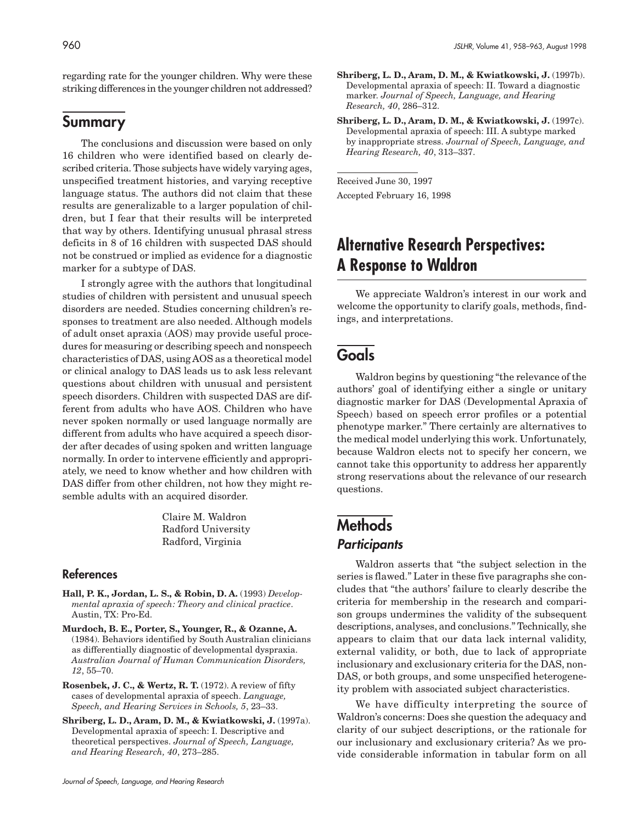regarding rate for the younger children. Why were these striking differences in the younger children not addressed?

### **Summary**

The conclusions and discussion were based on only 16 children who were identified based on clearly described criteria. Those subjects have widely varying ages, unspecified treatment histories, and varying receptive language status. The authors did not claim that these results are generalizable to a larger population of children, but I fear that their results will be interpreted that way by others. Identifying unusual phrasal stress deficits in 8 of 16 children with suspected DAS should not be construed or implied as evidence for a diagnostic marker for a subtype of DAS.

I strongly agree with the authors that longitudinal studies of children with persistent and unusual speech disorders are needed. Studies concerning children's responses to treatment are also needed. Although models of adult onset apraxia (AOS) may provide useful procedures for measuring or describing speech and nonspeech characteristics of DAS, using AOS as a theoretical model or clinical analogy to DAS leads us to ask less relevant questions about children with unusual and persistent speech disorders. Children with suspected DAS are different from adults who have AOS. Children who have never spoken normally or used language normally are different from adults who have acquired a speech disorder after decades of using spoken and written language normally. In order to intervene efficiently and appropriately, we need to know whether and how children with DAS differ from other children, not how they might resemble adults with an acquired disorder.

> Claire M. Waldron Radford University Radford, Virginia

#### **References**

- **Hall, P. K., Jordan, L. S., & Robin, D. A.** (1993) *Developmental apraxia of speech: Theory and clinical practice*. Austin, TX: Pro-Ed.
- **Murdoch, B. E., Porter, S., Younger, R., & Ozanne, A.** (1984). Behaviors identified by South Australian clinicians as differentially diagnostic of developmental dyspraxia. *Australian Journal of Human Communication Disorders, 12*, 55–70.
- **Rosenbek, J. C., & Wertz, R. T.** (1972). A review of fifty cases of developmental apraxia of speech. *Language, Speech, and Hearing Services in Schools, 5*, 23–33.
- **Shriberg, L. D., Aram, D. M., & Kwiatkowski, J.** (1997a). Developmental apraxia of speech: I. Descriptive and theoretical perspectives. *Journal of Speech, Language, and Hearing Research, 40*, 273–285.
- **Shriberg, L. D., Aram, D. M., & Kwiatkowski, J.** (1997b). Developmental apraxia of speech: II. Toward a diagnostic marker. *Journal of Speech, Language, and Hearing Research, 40*, 286–312.
- **Shriberg, L. D., Aram, D. M., & Kwiatkowski, J.** (1997c). Developmental apraxia of speech: III. A subtype marked by inappropriate stress. *Journal of Speech, Language, and Hearing Research, 40*, 313–337.

Received June 30, 1997 Accepted February 16, 1998

## **Alternative Research Perspectives: A Response to Waldron**

We appreciate Waldron's interest in our work and welcome the opportunity to clarify goals, methods, findings, and interpretations.

### **Goals**

Waldron begins by questioning "the relevance of the authors' goal of identifying either a single or unitary diagnostic marker for DAS (Developmental Apraxia of Speech) based on speech error profiles or a potential phenotype marker." There certainly are alternatives to the medical model underlying this work. Unfortunately, because Waldron elects not to specify her concern, we cannot take this opportunity to address her apparently strong reservations about the relevance of our research questions.

### **Methods Participants**

Waldron asserts that "the subject selection in the series is flawed." Later in these five paragraphs she concludes that "the authors' failure to clearly describe the criteria for membership in the research and comparison groups undermines the validity of the subsequent descriptions, analyses, and conclusions." Technically, she appears to claim that our data lack internal validity, external validity, or both, due to lack of appropriate inclusionary and exclusionary criteria for the DAS, non-DAS, or both groups, and some unspecified heterogeneity problem with associated subject characteristics.

We have difficulty interpreting the source of Waldron's concerns: Does she question the adequacy and clarity of our subject descriptions, or the rationale for our inclusionary and exclusionary criteria? As we provide considerable information in tabular form on all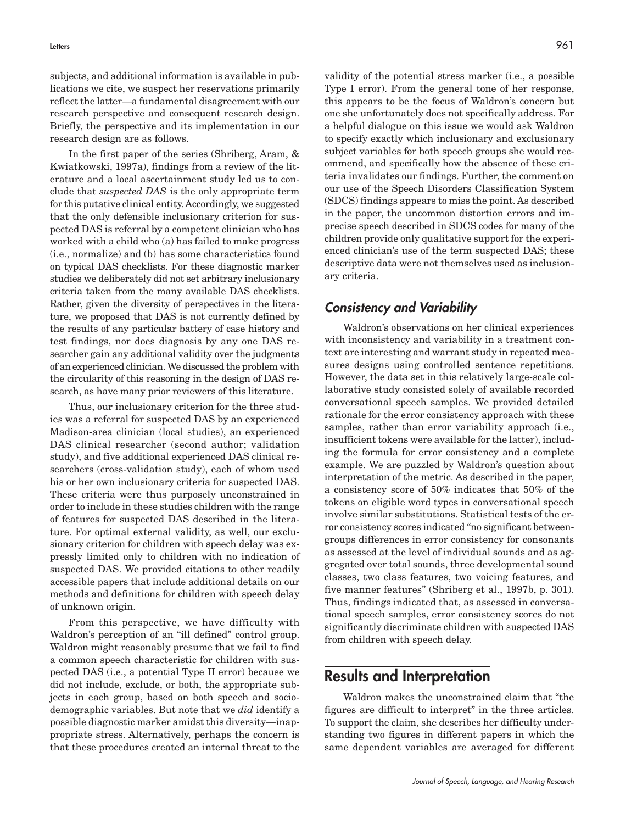subjects, and additional information is available in publications we cite, we suspect her reservations primarily reflect the latter—a fundamental disagreement with our research perspective and consequent research design. Briefly, the perspective and its implementation in our research design are as follows.

In the first paper of the series (Shriberg, Aram, & Kwiatkowski, 1997a), findings from a review of the literature and a local ascertainment study led us to conclude that *suspected DAS* is the only appropriate term for this putative clinical entity. Accordingly, we suggested that the only defensible inclusionary criterion for suspected DAS is referral by a competent clinician who has worked with a child who (a) has failed to make progress (i.e., normalize) and (b) has some characteristics found on typical DAS checklists. For these diagnostic marker studies we deliberately did not set arbitrary inclusionary criteria taken from the many available DAS checklists. Rather, given the diversity of perspectives in the literature, we proposed that DAS is not currently defined by the results of any particular battery of case history and test findings, nor does diagnosis by any one DAS researcher gain any additional validity over the judgments of an experienced clinician. We discussed the problem with the circularity of this reasoning in the design of DAS research, as have many prior reviewers of this literature.

Thus, our inclusionary criterion for the three studies was a referral for suspected DAS by an experienced Madison-area clinician (local studies), an experienced DAS clinical researcher (second author; validation study), and five additional experienced DAS clinical researchers (cross-validation study), each of whom used his or her own inclusionary criteria for suspected DAS. These criteria were thus purposely unconstrained in order to include in these studies children with the range of features for suspected DAS described in the literature. For optimal external validity, as well, our exclusionary criterion for children with speech delay was expressly limited only to children with no indication of suspected DAS. We provided citations to other readily accessible papers that include additional details on our methods and definitions for children with speech delay of unknown origin.

From this perspective, we have difficulty with Waldron's perception of an "ill defined" control group. Waldron might reasonably presume that we fail to find a common speech characteristic for children with suspected DAS (i.e., a potential Type II error) because we did not include, exclude, or both, the appropriate subjects in each group, based on both speech and sociodemographic variables. But note that we *did* identify a possible diagnostic marker amidst this diversity—inappropriate stress. Alternatively, perhaps the concern is that these procedures created an internal threat to the

validity of the potential stress marker (i.e., a possible Type I error). From the general tone of her response, this appears to be the focus of Waldron's concern but one she unfortunately does not specifically address. For a helpful dialogue on this issue we would ask Waldron to specify exactly which inclusionary and exclusionary subject variables for both speech groups she would recommend, and specifically how the absence of these criteria invalidates our findings. Further, the comment on our use of the Speech Disorders Classification System (SDCS) findings appears to miss the point. As described in the paper, the uncommon distortion errors and imprecise speech described in SDCS codes for many of the children provide only qualitative support for the experienced clinician's use of the term suspected DAS; these descriptive data were not themselves used as inclusionary criteria.

#### **Consistency and Variability**

Waldron's observations on her clinical experiences with inconsistency and variability in a treatment context are interesting and warrant study in repeated measures designs using controlled sentence repetitions. However, the data set in this relatively large-scale collaborative study consisted solely of available recorded conversational speech samples. We provided detailed rationale for the error consistency approach with these samples, rather than error variability approach (i.e., insufficient tokens were available for the latter), including the formula for error consistency and a complete example. We are puzzled by Waldron's question about interpretation of the metric. As described in the paper, a consistency score of 50% indicates that 50% of the tokens on eligible word types in conversational speech involve similar substitutions. Statistical tests of the error consistency scores indicated "no significant betweengroups differences in error consistency for consonants as assessed at the level of individual sounds and as aggregated over total sounds, three developmental sound classes, two class features, two voicing features, and five manner features" (Shriberg et al., 1997b, p. 301). Thus, findings indicated that, as assessed in conversational speech samples, error consistency scores do not significantly discriminate children with suspected DAS from children with speech delay.

### **Results and Interpretation**

Waldron makes the unconstrained claim that "the figures are difficult to interpret" in the three articles. To support the claim, she describes her difficulty understanding two figures in different papers in which the same dependent variables are averaged for different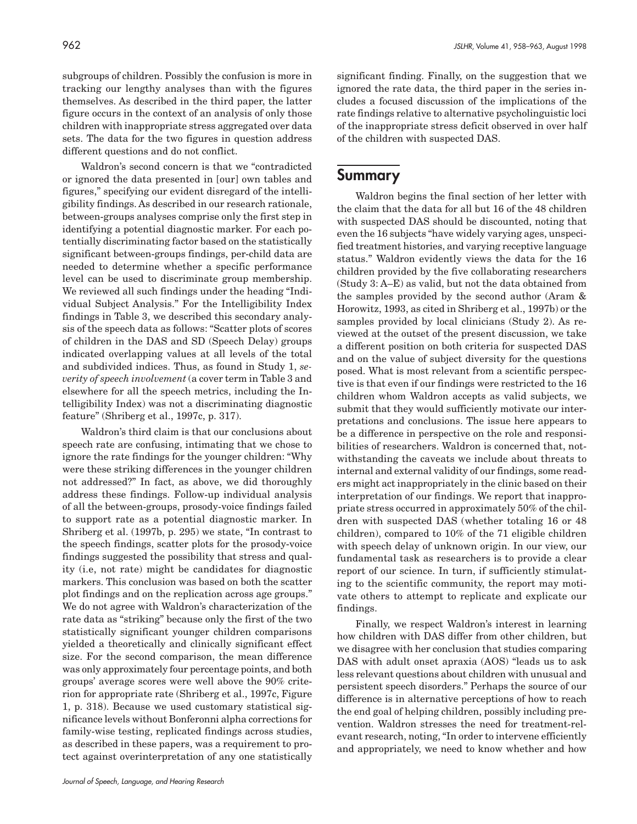subgroups of children. Possibly the confusion is more in tracking our lengthy analyses than with the figures themselves. As described in the third paper, the latter figure occurs in the context of an analysis of only those children with inappropriate stress aggregated over data sets. The data for the two figures in question address different questions and do not conflict.

Waldron's second concern is that we "contradicted or ignored the data presented in [our] own tables and figures," specifying our evident disregard of the intelligibility findings. As described in our research rationale, between-groups analyses comprise only the first step in identifying a potential diagnostic marker. For each potentially discriminating factor based on the statistically significant between-groups findings, per-child data are needed to determine whether a specific performance level can be used to discriminate group membership. We reviewed all such findings under the heading "Individual Subject Analysis." For the Intelligibility Index findings in Table 3, we described this secondary analysis of the speech data as follows: "Scatter plots of scores of children in the DAS and SD (Speech Delay) groups indicated overlapping values at all levels of the total and subdivided indices. Thus, as found in Study 1, *severity of speech involvement* (a cover term in Table 3 and elsewhere for all the speech metrics, including the Intelligibility Index) was not a discriminating diagnostic feature" (Shriberg et al., 1997c, p. 317).

Waldron's third claim is that our conclusions about speech rate are confusing, intimating that we chose to ignore the rate findings for the younger children: "Why were these striking differences in the younger children not addressed?" In fact, as above, we did thoroughly address these findings. Follow-up individual analysis of all the between-groups, prosody-voice findings failed to support rate as a potential diagnostic marker. In Shriberg et al. (1997b, p. 295) we state, "In contrast to the speech findings, scatter plots for the prosody-voice findings suggested the possibility that stress and quality (i.e, not rate) might be candidates for diagnostic markers. This conclusion was based on both the scatter plot findings and on the replication across age groups." We do not agree with Waldron's characterization of the rate data as "striking" because only the first of the two statistically significant younger children comparisons yielded a theoretically and clinically significant effect size. For the second comparison, the mean difference was only approximately four percentage points, and both groups' average scores were well above the 90% criterion for appropriate rate (Shriberg et al., 1997c, Figure 1, p. 318). Because we used customary statistical significance levels without Bonferonni alpha corrections for family-wise testing, replicated findings across studies, as described in these papers, was a requirement to protect against overinterpretation of any one statistically

significant finding. Finally, on the suggestion that we ignored the rate data, the third paper in the series includes a focused discussion of the implications of the rate findings relative to alternative psycholinguistic loci of the inappropriate stress deficit observed in over half of the children with suspected DAS.

### **Summary**

Waldron begins the final section of her letter with the claim that the data for all but 16 of the 48 children with suspected DAS should be discounted, noting that even the 16 subjects "have widely varying ages, unspecified treatment histories, and varying receptive language status." Waldron evidently views the data for the 16 children provided by the five collaborating researchers (Study 3: A–E) as valid, but not the data obtained from the samples provided by the second author (Aram & Horowitz, 1993, as cited in Shriberg et al., 1997b) or the samples provided by local clinicians (Study 2). As reviewed at the outset of the present discussion, we take a different position on both criteria for suspected DAS and on the value of subject diversity for the questions posed. What is most relevant from a scientific perspective is that even if our findings were restricted to the 16 children whom Waldron accepts as valid subjects, we submit that they would sufficiently motivate our interpretations and conclusions. The issue here appears to be a difference in perspective on the role and responsibilities of researchers. Waldron is concerned that, notwithstanding the caveats we include about threats to internal and external validity of our findings, some readers might act inappropriately in the clinic based on their interpretation of our findings. We report that inappropriate stress occurred in approximately 50% of the children with suspected DAS (whether totaling 16 or 48 children), compared to 10% of the 71 eligible children with speech delay of unknown origin. In our view, our fundamental task as researchers is to provide a clear report of our science. In turn, if sufficiently stimulating to the scientific community, the report may motivate others to attempt to replicate and explicate our findings.

Finally, we respect Waldron's interest in learning how children with DAS differ from other children, but we disagree with her conclusion that studies comparing DAS with adult onset apraxia (AOS) "leads us to ask less relevant questions about children with unusual and persistent speech disorders." Perhaps the source of our difference is in alternative perceptions of how to reach the end goal of helping children, possibly including prevention. Waldron stresses the need for treatment-relevant research, noting, "In order to intervene efficiently and appropriately, we need to know whether and how